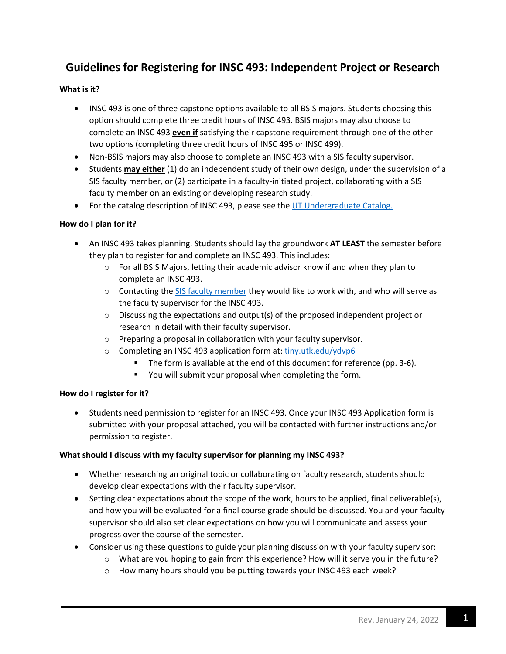# **Guidelines for Registering for INSC 493: Independent Project or Research**

# **What is it?**

- INSC 493 is one of three capstone options available to all BSIS majors. Students choosing this option should complete three credit hours of INSC 493. BSIS majors may also choose to complete an INSC 493 **even if** satisfying their capstone requirement through one of the other two options (completing three credit hours of INSC 495 or INSC 499).
- Non-BSIS majors may also choose to complete an INSC 493 with a SIS faculty supervisor.
- Students **may either** (1) do an independent study of their own design, under the supervision of a SIS faculty member, or (2) participate in a faculty-initiated project, collaborating with a SIS faculty member on an existing or developing research study.
- For the catalog description of INSC 493, please see the UT Undergraduate Catalog.

## **How do I plan for it?**

- An INSC 493 takes planning. Students should lay the groundwork **AT LEAST** the semester before they plan to register for and complete an INSC 493. This includes:
	- $\circ$  For all BSIS Majors, letting their academic advisor know if and when they plan to complete an INSC 493.
	- $\circ$  Contacting the SIS faculty member they would like to work with, and who will serve as the faculty supervisor for the INSC 493.
	- $\circ$  Discussing the expectations and output(s) of the proposed independent project or research in detail with their faculty supervisor.
	- o Preparing a proposal in collaboration with your faculty supervisor.
	- o Completing an INSC 493 application form at: tiny.utk.edu/ydvp6
		- The form is available at the end of this document for reference (pp. 3-6).
		- You will submit your proposal when completing the form.

# **How do I register for it?**

• Students need permission to register for an INSC 493. Once your INSC 493 Application form is submitted with your proposal attached, you will be contacted with further instructions and/or permission to register.

#### **What should I discuss with my faculty supervisor for planning my INSC 493?**

- Whether researching an original topic or collaborating on faculty research, students should develop clear expectations with their faculty supervisor.
- Setting clear expectations about the scope of the work, hours to be applied, final deliverable(s), and how you will be evaluated for a final course grade should be discussed. You and your faculty supervisor should also set clear expectations on how you will communicate and assess your progress over the course of the semester.
- Consider using these questions to guide your planning discussion with your faculty supervisor:
	- o What are you hoping to gain from this experience? How will it serve you in the future?
	- o How many hours should you be putting towards your INSC 493 each week?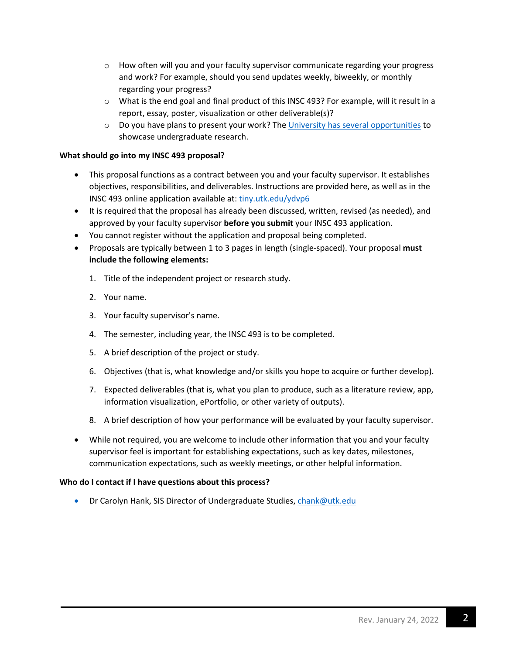- $\circ$  How often will you and your faculty supervisor communicate regarding your progress and work? For example, should you send updates weekly, biweekly, or monthly regarding your progress?
- $\circ$  What is the end goal and final product of this INSC 493? For example, will it result in a report, essay, poster, visualization or other deliverable(s)?
- o Do you have plans to present your work? The University has several opportunities to showcase undergraduate research.

## **What should go into my INSC 493 proposal?**

- This proposal functions as a contract between you and your faculty supervisor. It establishes objectives, responsibilities, and deliverables. Instructions are provided here, as well as in the INSC 493 online application available at: tiny.utk.edu/ydvp6
- It is required that the proposal has already been discussed, written, revised (as needed), and approved by your faculty supervisor **before you submit** your INSC 493 application.
- You cannot register without the application and proposal being completed.
- Proposals are typically between 1 to 3 pages in length (single-spaced). Your proposal **must include the following elements:**
	- 1. Title of the independent project or research study.
	- 2. Your name.
	- 3. Your faculty supervisor's name.
	- 4. The semester, including year, the INSC 493 is to be completed.
	- 5. A brief description of the project or study.
	- 6. Objectives (that is, what knowledge and/or skills you hope to acquire or further develop).
	- 7. Expected deliverables (that is, what you plan to produce, such as a literature review, app, information visualization, ePortfolio, or other variety of outputs).
	- 8. A brief description of how your performance will be evaluated by your faculty supervisor.
- While not required, you are welcome to include other information that you and your faculty supervisor feel is important for establishing expectations, such as key dates, milestones, communication expectations, such as weekly meetings, or other helpful information.

#### **Who do I contact if I have questions about this process?**

• Dr Carolyn Hank, SIS Director of Undergraduate Studies, chank@utk.edu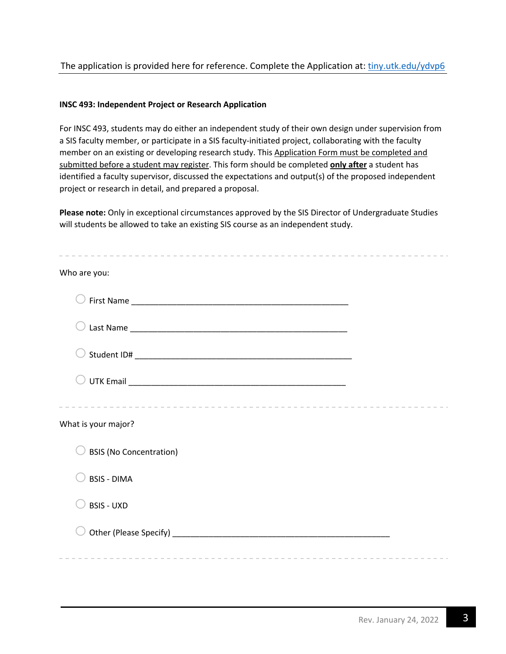# The application is provided here for reference. Complete the Application at: tiny.utk.edu/ydvp6

#### **INSC 493: Independent Project or Research Application**

For INSC 493, students may do either an independent study of their own design under supervision from a SIS faculty member, or participate in a SIS faculty-initiated project, collaborating with the faculty member on an existing or developing research study. This Application Form must be completed and submitted before a student may register. This form should be completed **only after** a student has identified a faculty supervisor, discussed the expectations and output(s) of the proposed independent project or research in detail, and prepared a proposal.

**Please note:** Only in exceptional circumstances approved by the SIS Director of Undergraduate Studies will students be allowed to take an existing SIS course as an independent study.

| Who are you:                                                                                     |  |
|--------------------------------------------------------------------------------------------------|--|
|                                                                                                  |  |
|                                                                                                  |  |
|                                                                                                  |  |
|                                                                                                  |  |
| What is your major?<br><b>BSIS (No Concentration)</b><br><b>BSIS - DIMA</b><br><b>BSIS - UXD</b> |  |
|                                                                                                  |  |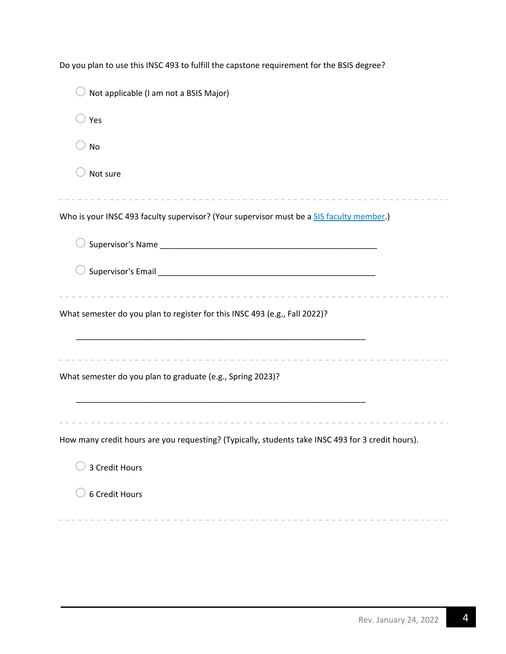| Not applicable (I am not a BSIS Major)                                                            |
|---------------------------------------------------------------------------------------------------|
| Yes                                                                                               |
| <b>No</b>                                                                                         |
| Not sure                                                                                          |
| Who is your INSC 493 faculty supervisor? (Your supervisor must be a SIS faculty member.)          |
|                                                                                                   |
|                                                                                                   |
| What semester do you plan to register for this INSC 493 (e.g., Fall 2022)?                        |
| What semester do you plan to graduate (e.g., Spring 2023)?                                        |
| How many credit hours are you requesting? (Typically, students take INSC 493 for 3 credit hours). |
| 3 Credit Hours                                                                                    |
| 6 Credit Hours                                                                                    |

Do you plan to use this INSC 493 to fulfill the capstone requirement for the BSIS degree?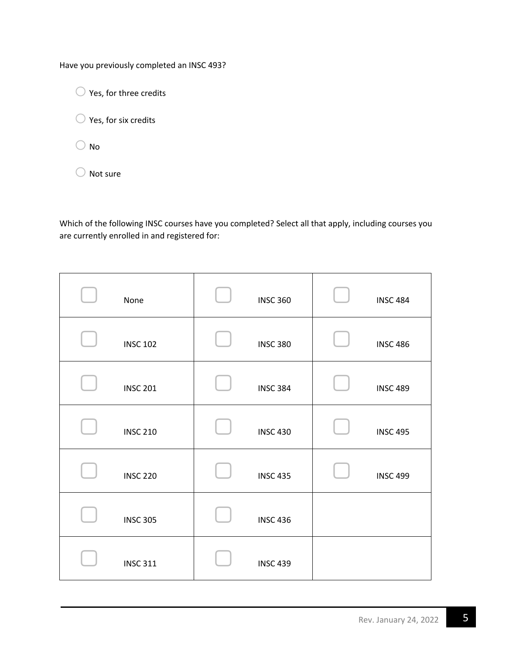Have you previously completed an INSC 493?

 $\bigcirc$  Yes, for three credits

 $\bigcirc$  Yes, for six credits

 $\bigcirc$  No

 $\bigcirc$  Not sure

Which of the following INSC courses have you completed? Select all that apply, including courses you are currently enrolled in and registered for:

| None            | <b>INSC 360</b> | <b>INSC 484</b> |
|-----------------|-----------------|-----------------|
| <b>INSC 102</b> | <b>INSC 380</b> | <b>INSC 486</b> |
| <b>INSC 201</b> | <b>INSC 384</b> | <b>INSC 489</b> |
| <b>INSC 210</b> | <b>INSC 430</b> | <b>INSC 495</b> |
| <b>INSC 220</b> | <b>INSC 435</b> | <b>INSC 499</b> |
| <b>INSC 305</b> | <b>INSC 436</b> |                 |
| <b>INSC 311</b> | <b>INSC 439</b> |                 |